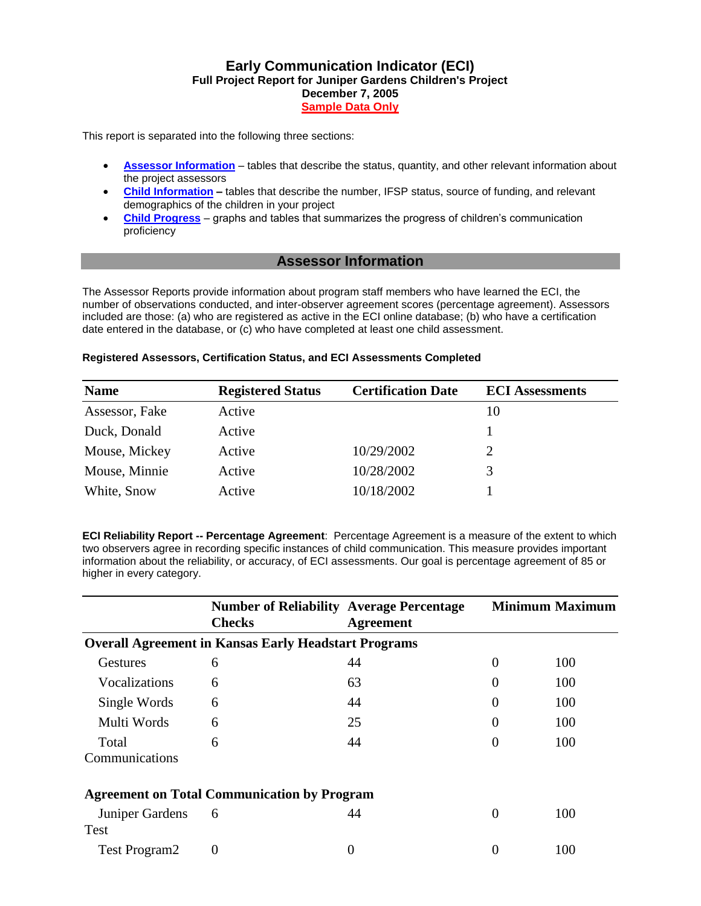### **Early Communication Indicator (ECI) Full Project Report for Juniper Gardens Children's Project December 7, 2005 Sample Data Only**

This report is separated into the following three sections:

- **[Assessor Information](http://igdi.ku.edu/measures/ECI_Measures/images/ECI_sample_project_prog_report.htm#assessor)** tables that describe the status, quantity, and other relevant information about the project assessors
- **[Child Information](http://igdi.ku.edu/measures/ECI_Measures/images/ECI_sample_project_prog_report.htm#childinfo) –** tables that describe the number, IFSP status, source of funding, and relevant demographics of the children in your project
- **[Child Progress](http://igdi.ku.edu/measures/ECI_Measures/images/ECI_sample_project_prog_report.htm#childprogress)** graphs and tables that summarizes the progress of children's communication proficiency

### **Assessor Information**

The Assessor Reports provide information about program staff members who have learned the ECI, the number of observations conducted, and inter-observer agreement scores (percentage agreement). Assessors included are those: (a) who are registered as active in the ECI online database; (b) who have a certification date entered in the database, or (c) who have completed at least one child assessment.

#### **Registered Assessors, Certification Status, and ECI Assessments Completed**

| <b>Name</b>    | <b>Registered Status</b> | <b>Certification Date</b> | <b>ECI</b> Assessments |
|----------------|--------------------------|---------------------------|------------------------|
| Assessor, Fake | Active                   |                           | 10                     |
| Duck, Donald   | Active                   |                           |                        |
| Mouse, Mickey  | Active                   | 10/29/2002                |                        |
| Mouse, Minnie  | Active                   | 10/28/2002                | 3                      |
| White, Snow    | Active                   | 10/18/2002                |                        |

**ECI Reliability Report -- Percentage Agreement**: Percentage Agreement is a measure of the extent to which two observers agree in recording specific instances of child communication. This measure provides important information about the reliability, or accuracy, of ECI assessments. Our goal is percentage agreement of 85 or higher in every category.

|                         | <b>Number of Reliability Average Percentage</b><br><b>Checks</b> | <b>Agreement</b> |          | <b>Minimum Maximum</b> |
|-------------------------|------------------------------------------------------------------|------------------|----------|------------------------|
|                         | <b>Overall Agreement in Kansas Early Headstart Programs</b>      |                  |          |                        |
| Gestures                | 6                                                                | 44               | 0        | 100                    |
| Vocalizations           | 6                                                                | 63               | $\Omega$ | 100                    |
| Single Words            | 6                                                                | 44               | $\theta$ | 100                    |
| Multi Words             | 6                                                                | 25               | $\Omega$ | 100                    |
| Total<br>Communications | 6                                                                | 44               | $\Omega$ | 100                    |
|                         | <b>Agreement on Total Communication by Program</b>               |                  |          |                        |
| Juniper Gardens<br>Test | 6                                                                | 44               | $\Omega$ | 100                    |
| <b>Test Program2</b>    | 0                                                                | 0                | 0        | 100                    |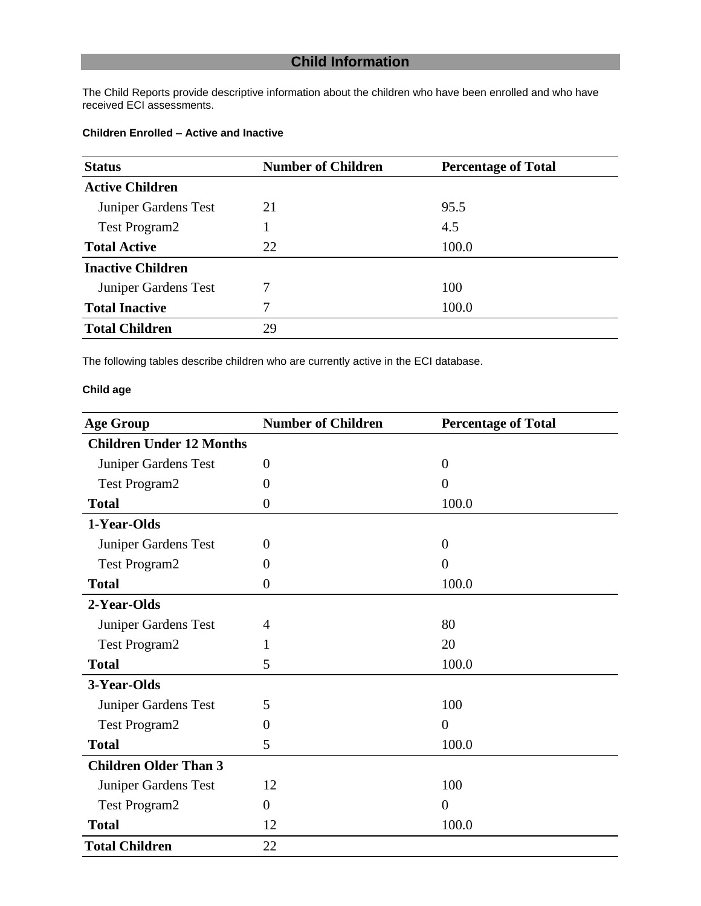# **Child Information**

The Child Reports provide descriptive information about the children who have been enrolled and who have received ECI assessments.

### **Children Enrolled – Active and Inactive**

| <b>Status</b>            | <b>Number of Children</b> | <b>Percentage of Total</b> |
|--------------------------|---------------------------|----------------------------|
| <b>Active Children</b>   |                           |                            |
| Juniper Gardens Test     | 21                        | 95.5                       |
| <b>Test Program2</b>     |                           | 4.5                        |
| <b>Total Active</b>      | 22                        | 100.0                      |
| <b>Inactive Children</b> |                           |                            |
| Juniper Gardens Test     | 7                         | 100                        |
| <b>Total Inactive</b>    | 7                         | 100.0                      |
| <b>Total Children</b>    | 29                        |                            |

The following tables describe children who are currently active in the ECI database.

### **Child age**

| <b>Age Group</b>                | <b>Number of Children</b> | <b>Percentage of Total</b> |
|---------------------------------|---------------------------|----------------------------|
| <b>Children Under 12 Months</b> |                           |                            |
| Juniper Gardens Test            | $\overline{0}$            | $\overline{0}$             |
| <b>Test Program2</b>            | 0                         | $\boldsymbol{0}$           |
| <b>Total</b>                    | 0                         | 100.0                      |
| 1-Year-Olds                     |                           |                            |
| Juniper Gardens Test            | $\Omega$                  | $\theta$                   |
| <b>Test Program2</b>            | 0                         | $\overline{0}$             |
| <b>Total</b>                    | $\overline{0}$            | 100.0                      |
| 2-Year-Olds                     |                           |                            |
| Juniper Gardens Test            | 4                         | 80                         |
| <b>Test Program2</b>            | 1                         | 20                         |
| <b>Total</b>                    | 5                         | 100.0                      |
| 3-Year-Olds                     |                           |                            |
| Juniper Gardens Test            | 5                         | 100                        |
| <b>Test Program2</b>            | 0                         | $\overline{0}$             |
| <b>Total</b>                    | 5                         | 100.0                      |
| <b>Children Older Than 3</b>    |                           |                            |
| Juniper Gardens Test            | 12                        | 100                        |
| <b>Test Program2</b>            | $\overline{0}$            | $\overline{0}$             |
| <b>Total</b>                    | 12                        | 100.0                      |
| <b>Total Children</b>           | 22                        |                            |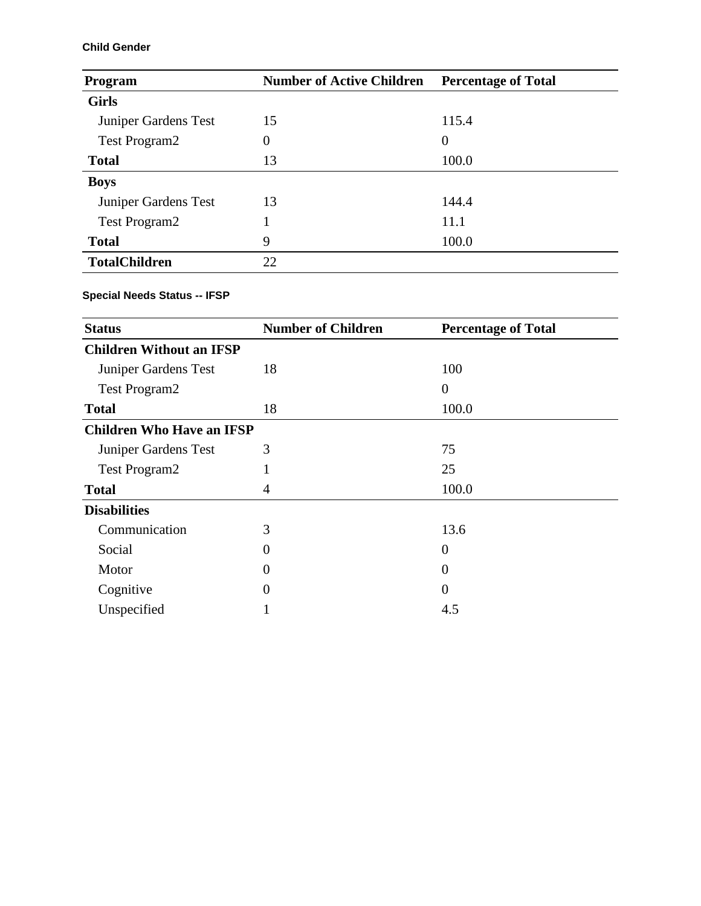### **Child Gender**

| Program              | <b>Number of Active Children</b> | <b>Percentage of Total</b> |
|----------------------|----------------------------------|----------------------------|
| <b>Girls</b>         |                                  |                            |
| Juniper Gardens Test | 15                               | 115.4                      |
| <b>Test Program2</b> | $\theta$                         | $\overline{0}$             |
| <b>Total</b>         | 13                               | 100.0                      |
| <b>Boys</b>          |                                  |                            |
| Juniper Gardens Test | 13                               | 144.4                      |
| <b>Test Program2</b> |                                  | 11.1                       |
| <b>Total</b>         | 9                                | 100.0                      |
| <b>TotalChildren</b> | 22                               |                            |

### **Special Needs Status -- IFSP**

| <b>Status</b>                    | <b>Number of Children</b> | <b>Percentage of Total</b> |
|----------------------------------|---------------------------|----------------------------|
| <b>Children Without an IFSP</b>  |                           |                            |
| Juniper Gardens Test             | 18                        | 100                        |
| <b>Test Program2</b>             |                           | $\overline{0}$             |
| <b>Total</b>                     | 18                        | 100.0                      |
| <b>Children Who Have an IFSP</b> |                           |                            |
| Juniper Gardens Test             | 3                         | 75                         |
| Test Program2                    |                           | 25                         |
| <b>Total</b>                     | 4                         | 100.0                      |
| <b>Disabilities</b>              |                           |                            |
| Communication                    | 3                         | 13.6                       |
| Social                           | 0                         | $\boldsymbol{0}$           |
| Motor                            | 0                         | $\theta$                   |
| Cognitive                        | 0                         | $\overline{0}$             |
| Unspecified                      |                           | 4.5                        |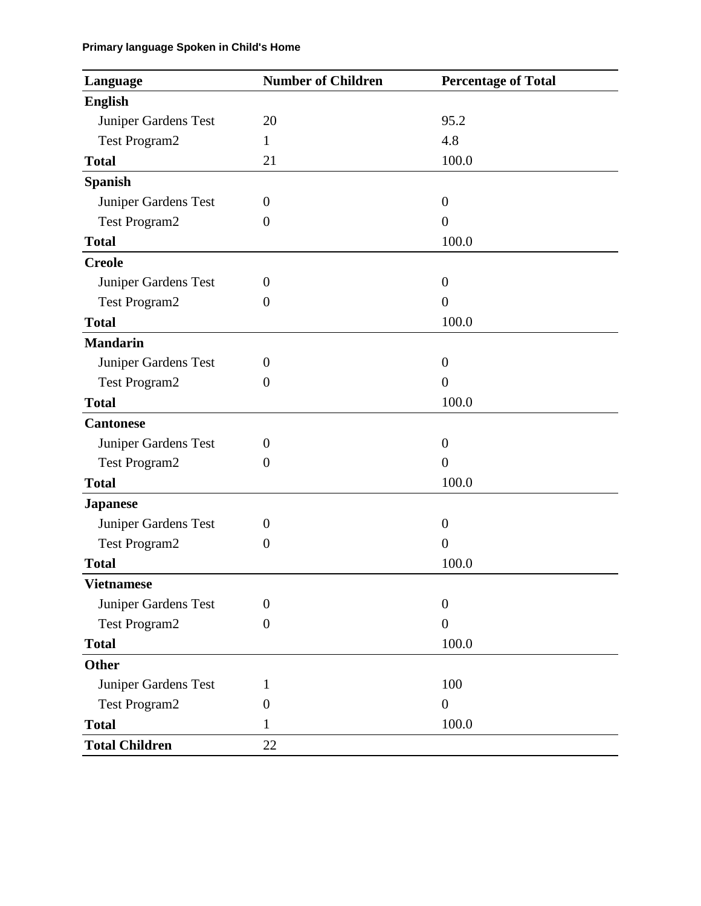## **Primary language Spoken in Child's Home**

| Language              | <b>Number of Children</b> | <b>Percentage of Total</b> |
|-----------------------|---------------------------|----------------------------|
| <b>English</b>        |                           |                            |
| Juniper Gardens Test  | 20                        | 95.2                       |
| <b>Test Program2</b>  | $\mathbf{1}$              | 4.8                        |
| <b>Total</b>          | 21                        | 100.0                      |
| <b>Spanish</b>        |                           |                            |
| Juniper Gardens Test  | $\theta$                  | $\theta$                   |
| <b>Test Program2</b>  | $\overline{0}$            | $\overline{0}$             |
| <b>Total</b>          |                           | 100.0                      |
| <b>Creole</b>         |                           |                            |
| Juniper Gardens Test  | $\theta$                  | $\boldsymbol{0}$           |
| Test Program2         | $\boldsymbol{0}$          | $\overline{0}$             |
| <b>Total</b>          |                           | 100.0                      |
| <b>Mandarin</b>       |                           |                            |
| Juniper Gardens Test  | $\theta$                  | $\overline{0}$             |
| <b>Test Program2</b>  | $\boldsymbol{0}$          | $\overline{0}$             |
| <b>Total</b>          |                           | 100.0                      |
| <b>Cantonese</b>      |                           |                            |
| Juniper Gardens Test  | $\boldsymbol{0}$          | $\boldsymbol{0}$           |
| <b>Test Program2</b>  | $\boldsymbol{0}$          | $\overline{0}$             |
| <b>Total</b>          |                           | 100.0                      |
| <b>Japanese</b>       |                           |                            |
| Juniper Gardens Test  | $\theta$                  | $\boldsymbol{0}$           |
| <b>Test Program2</b>  | $\boldsymbol{0}$          | $\overline{0}$             |
| <b>Total</b>          |                           | 100.0                      |
| Vietnamese            |                           |                            |
| Juniper Gardens Test  | $\overline{0}$            | $\boldsymbol{0}$           |
| <b>Test Program2</b>  | $\boldsymbol{0}$          | $\boldsymbol{0}$           |
| <b>Total</b>          |                           | 100.0                      |
| <b>Other</b>          |                           |                            |
| Juniper Gardens Test  | 1                         | 100                        |
| <b>Test Program2</b>  | 0                         | $\overline{0}$             |
| <b>Total</b>          | 1                         | 100.0                      |
| <b>Total Children</b> | 22                        |                            |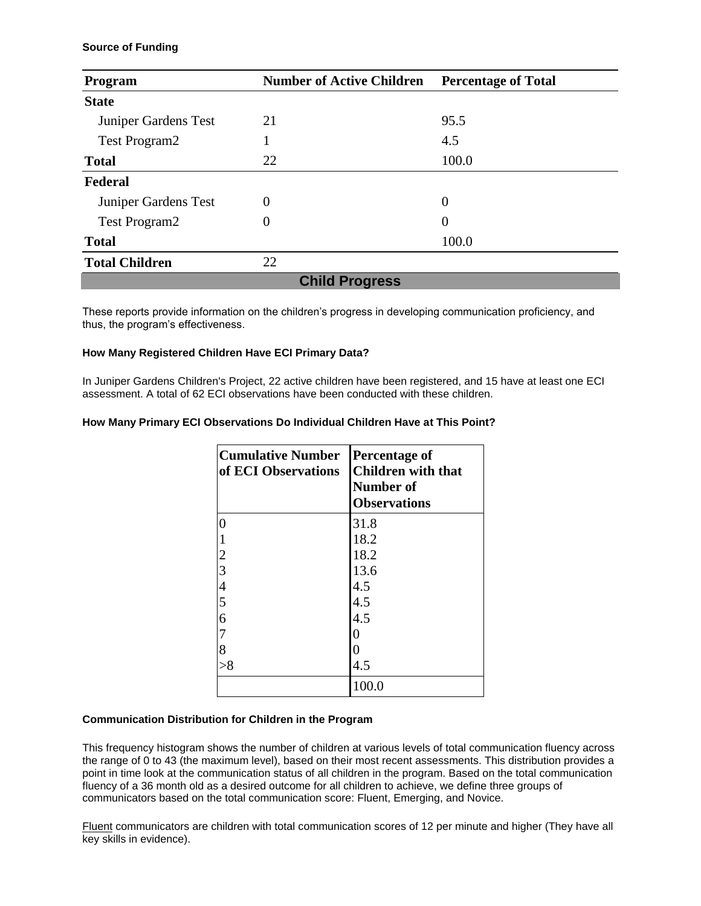#### **Source of Funding**

| <b>Number of Active Children</b><br>Program |                       | <b>Percentage of Total</b> |  |
|---------------------------------------------|-----------------------|----------------------------|--|
| <b>State</b>                                |                       |                            |  |
| Juniper Gardens Test                        | 21                    | 95.5                       |  |
| <b>Test Program2</b>                        |                       | 4.5                        |  |
| <b>Total</b>                                | 22                    | 100.0                      |  |
| <b>Federal</b>                              |                       |                            |  |
| Juniper Gardens Test                        | $\theta$              | $\theta$                   |  |
| Test Program2                               | 0                     | 0                          |  |
| <b>Total</b>                                |                       | 100.0                      |  |
| <b>Total Children</b>                       | 22                    |                            |  |
|                                             | <b>Child Progress</b> |                            |  |

These reports provide information on the children's progress in developing communication proficiency, and thus, the program's effectiveness.

#### **How Many Registered Children Have ECI Primary Data?**

In Juniper Gardens Children's Project, 22 active children have been registered, and 15 have at least one ECI assessment. A total of 62 ECI observations have been conducted with these children.

#### **How Many Primary ECI Observations Do Individual Children Have at This Point?**

| <b>Cumulative Number</b><br>of ECI Observations | <b>Percentage of</b><br><b>Children with that</b><br><b>Number of</b><br><b>Observations</b> |
|-------------------------------------------------|----------------------------------------------------------------------------------------------|
| $\overline{0}$                                  | 31.8                                                                                         |
|                                                 | 18.2                                                                                         |
| $\overline{c}$                                  | 18.2                                                                                         |
| $\overline{3}$                                  | 13.6                                                                                         |
| $\overline{4}$                                  | 4.5                                                                                          |
| 5                                               | 4.5                                                                                          |
| 6                                               | 4.5                                                                                          |
| 7                                               | 0                                                                                            |
| 8                                               | 0                                                                                            |
| > 8                                             | 4.5                                                                                          |
|                                                 |                                                                                              |

#### **Communication Distribution for Children in the Program**

This frequency histogram shows the number of children at various levels of total communication fluency across the range of 0 to 43 (the maximum level), based on their most recent assessments. This distribution provides a point in time look at the communication status of all children in the program. Based on the total communication fluency of a 36 month old as a desired outcome for all children to achieve, we define three groups of communicators based on the total communication score: Fluent, Emerging, and Novice.

Fluent communicators are children with total communication scores of 12 per minute and higher (They have all key skills in evidence).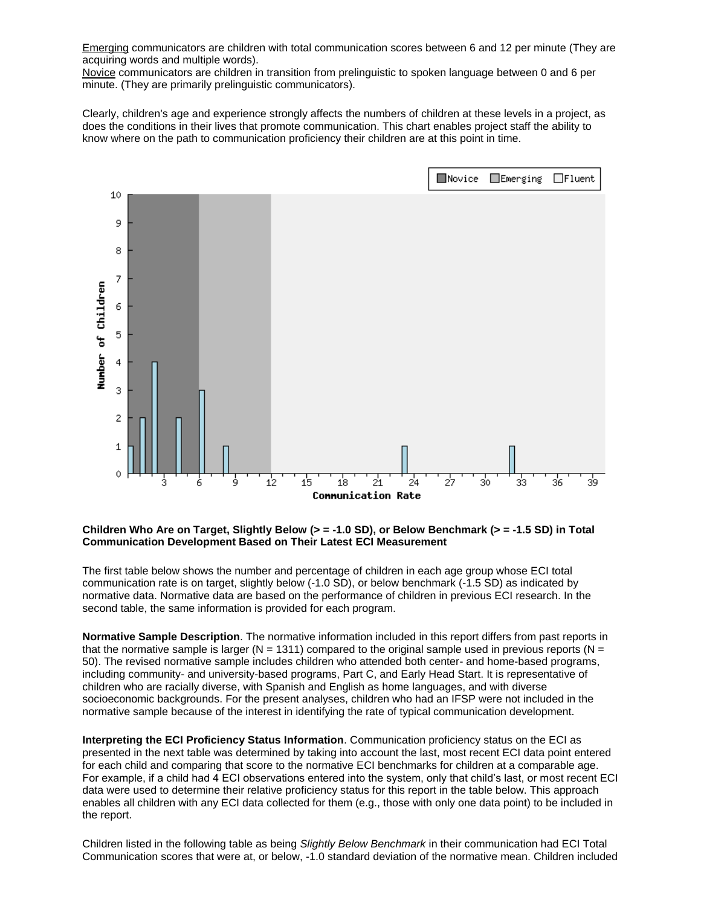Emerging communicators are children with total communication scores between 6 and 12 per minute (They are acquiring words and multiple words).

Novice communicators are children in transition from prelinguistic to spoken language between 0 and 6 per minute. (They are primarily prelinguistic communicators).

Clearly, children's age and experience strongly affects the numbers of children at these levels in a project, as does the conditions in their lives that promote communication. This chart enables project staff the ability to know where on the path to communication proficiency their children are at this point in time.



#### **Children Who Are on Target, Slightly Below (> = -1.0 SD), or Below Benchmark (> = -1.5 SD) in Total Communication Development Based on Their Latest ECI Measurement**

The first table below shows the number and percentage of children in each age group whose ECI total communication rate is on target, slightly below (-1.0 SD), or below benchmark (-1.5 SD) as indicated by normative data. Normative data are based on the performance of children in previous ECI research. In the second table, the same information is provided for each program.

**Normative Sample Description**. The normative information included in this report differs from past reports in that the normative sample is larger (N = 1311) compared to the original sample used in previous reports (N = 50). The revised normative sample includes children who attended both center- and home-based programs, including community- and university-based programs, Part C, and Early Head Start. It is representative of children who are racially diverse, with Spanish and English as home languages, and with diverse socioeconomic backgrounds. For the present analyses, children who had an IFSP were not included in the normative sample because of the interest in identifying the rate of typical communication development.

**Interpreting the ECI Proficiency Status Information**. Communication proficiency status on the ECI as presented in the next table was determined by taking into account the last, most recent ECI data point entered for each child and comparing that score to the normative ECI benchmarks for children at a comparable age. For example, if a child had 4 ECI observations entered into the system, only that child's last, or most recent ECI data were used to determine their relative proficiency status for this report in the table below. This approach enables all children with any ECI data collected for them (e.g., those with only one data point) to be included in the report.

Children listed in the following table as being *Slightly Below Benchmark* in their communication had ECI Total Communication scores that were at, or below, -1.0 standard deviation of the normative mean. Children included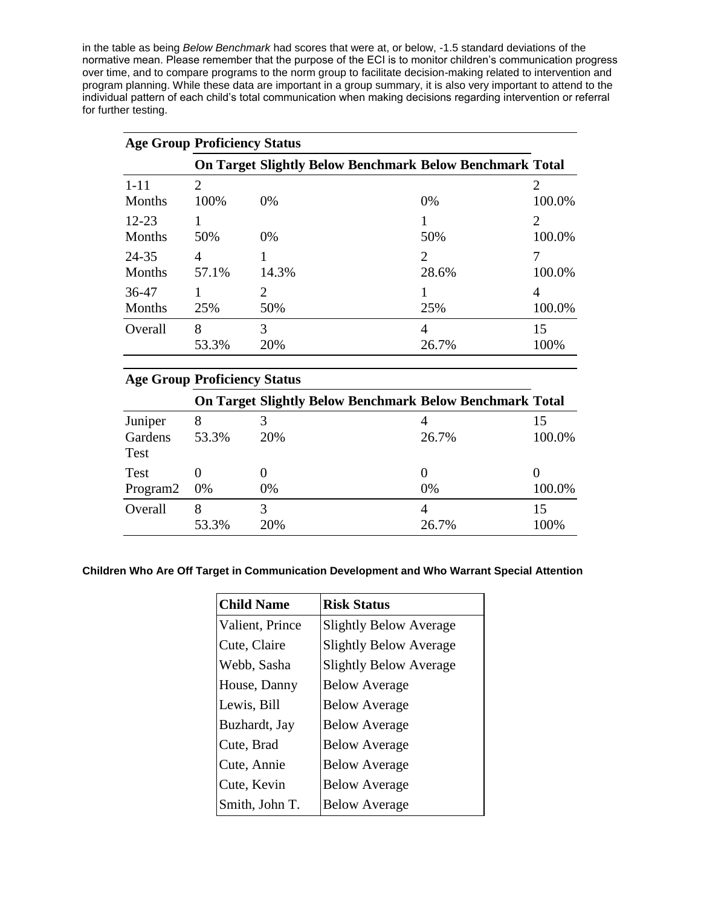in the table as being *Below Benchmark* had scores that were at, or below, -1.5 standard deviations of the normative mean. Please remember that the purpose of the ECI is to monitor children's communication progress over time, and to compare programs to the norm group to facilitate decision-making related to intervention and program planning. While these data are important in a group summary, it is also very important to attend to the individual pattern of each child's total communication when making decisions regarding intervention or referral for further testing.

| <b>Age Group Proficiency Status</b> |                |               |                                                                 |                             |
|-------------------------------------|----------------|---------------|-----------------------------------------------------------------|-----------------------------|
|                                     |                |               | <b>On Target Slightly Below Benchmark Below Benchmark Total</b> |                             |
| $1 - 11$                            | $\overline{2}$ |               |                                                                 | $\overline{2}$              |
| Months                              | 100%           | $0\%$         | 0%                                                              | 100.0%                      |
| $12 - 23$                           |                |               |                                                                 | $\mathcal{D}_{\mathcal{L}}$ |
| Months                              | 50%            | 0%            | 50%                                                             | 100.0%                      |
| 24-35                               | 4              |               | $\mathcal{D}_{\mathcal{L}}$                                     |                             |
| Months                              | 57.1%          | 14.3%         | 28.6%                                                           | 100.0%                      |
| 36-47                               |                | $\mathcal{D}$ |                                                                 | 4                           |
| Months                              | 25%            | 50%           | 25%                                                             | 100.0%                      |
| Overall                             | 8              | 3             | 4                                                               | 15                          |
|                                     | 53.3%          | 20%           | 26.7%                                                           | 100%                        |

| <b>Age Group Proficiency Status</b> |            |     |                                                                 |                   |
|-------------------------------------|------------|-----|-----------------------------------------------------------------|-------------------|
|                                     |            |     | <b>On Target Slightly Below Benchmark Below Benchmark Total</b> |                   |
| Juniper                             | 8          |     |                                                                 | 15                |
| Gardens<br>Test                     | 53.3%      | 20% | 26.7%                                                           | 100.0%            |
| Test                                |            |     |                                                                 | $\mathbf{\Omega}$ |
| Program2                            | $0\%$      | 0%  | 0%                                                              | 100.0%            |
| Overall                             | 8<br>53.3% | 20% | 4<br>26.7%                                                      | 15<br>100\%       |

#### **Children Who Are Off Target in Communication Development and Who Warrant Special Attention**

| <b>Child Name</b> | <b>Risk Status</b>            |
|-------------------|-------------------------------|
| Valient, Prince   | <b>Slightly Below Average</b> |
| Cute, Claire      | <b>Slightly Below Average</b> |
| Webb, Sasha       | <b>Slightly Below Average</b> |
| House, Danny      | <b>Below Average</b>          |
| Lewis, Bill       | <b>Below Average</b>          |
| Buzhardt, Jay     | <b>Below Average</b>          |
| Cute, Brad        | <b>Below Average</b>          |
| Cute, Annie       | <b>Below Average</b>          |
| Cute, Kevin       | <b>Below Average</b>          |
| Smith, John T.    | <b>Below Average</b>          |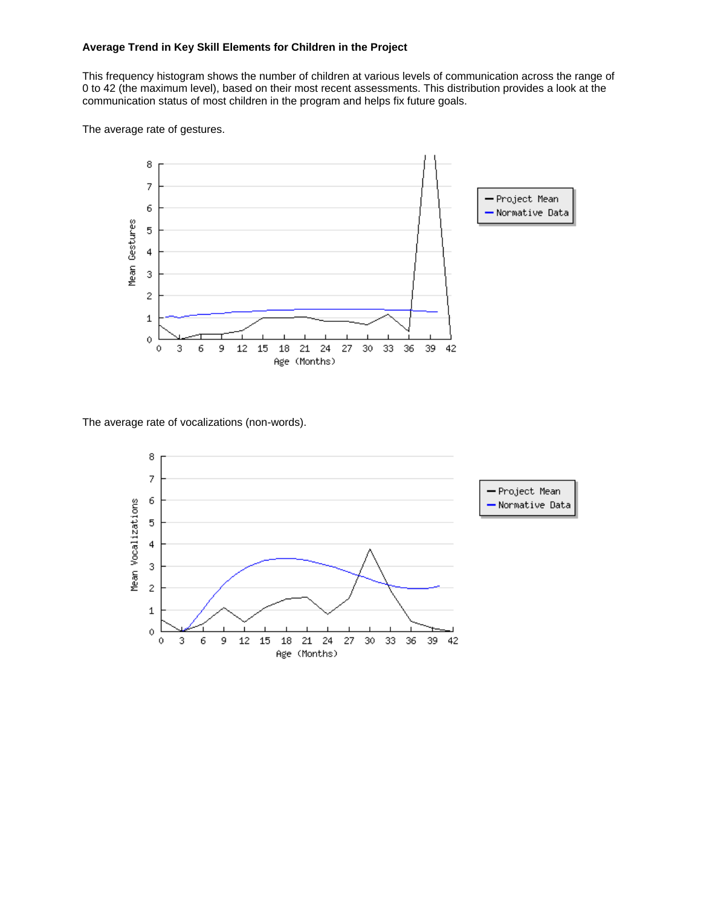#### **Average Trend in Key Skill Elements for Children in the Project**

This frequency histogram shows the number of children at various levels of communication across the range of 0 to 42 (the maximum level), based on their most recent assessments. This distribution provides a look at the communication status of most children in the program and helps fix future goals.

The average rate of gestures.



The average rate of vocalizations (non-words).

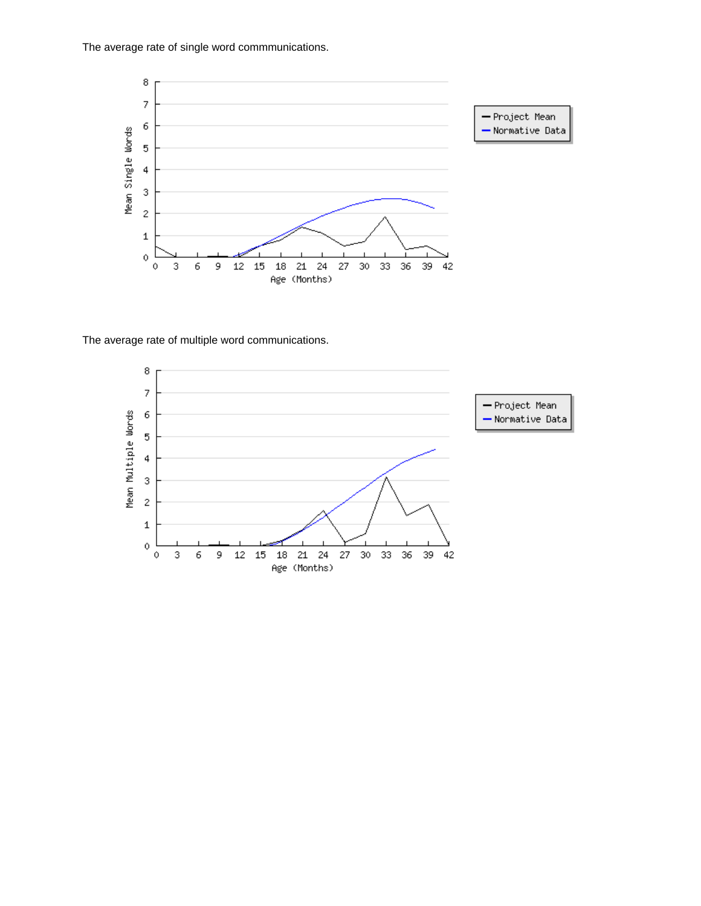The average rate of single word commmunications.



The average rate of multiple word communications.